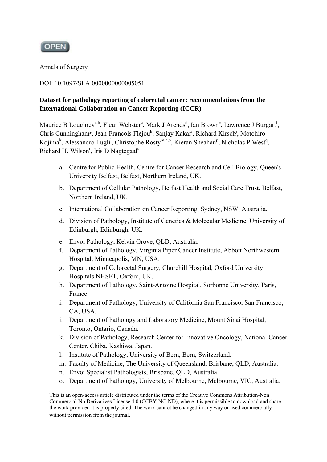

Annals of Surgery

### DOI: 10.1097/SLA.0000000000005051

# **Dataset for pathology reporting of colorectal cancer: recommendations from the International Collaboration on Cancer Reporting (ICCR)**

Maurice B Loughrey<sup>a,b</sup>, Fleur Webster<sup>c</sup>, Mark J Arends<sup>d</sup>, Ian Brown<sup>e</sup>, Lawrence J Burgart<sup>f</sup>, Chris Cunningham<sup>g</sup>, Jean-Francois Flejou<sup>h</sup>, Sanjay Kakar<sup>i</sup>, Richard Kirsch<sup>j</sup>, Motohiro Kojima<sup>k</sup>, Alessandro Lugli<sup>1</sup>, Christophe Rosty<sup>m,n,o</sup>, Kieran Sheahan<sup>p</sup>, Nicholas P West<sup>q</sup>, Richard H. Wilson<sup>r</sup>, Iris D Nagtegaal<sup>s</sup>

- a. Centre for Public Health, Centre for Cancer Research and Cell Biology, Queen's University Belfast, Belfast, Northern Ireland, UK.
- b. Department of Cellular Pathology, Belfast Health and Social Care Trust, Belfast, Northern Ireland, UK.
- c. International Collaboration on Cancer Reporting, Sydney, NSW, Australia.
- d. Division of Pathology, Institute of Genetics & Molecular Medicine, University of Edinburgh, Edinburgh, UK.
- e. Envoi Pathology, Kelvin Grove, QLD, Australia.
- f. Department of Pathology, Virginia Piper Cancer Institute, Abbott Northwestern Hospital, Minneapolis, MN, USA.
- g. Department of Colorectal Surgery, Churchill Hospital, Oxford University Hospitals NHSFT, Oxford, UK.
- h. Department of Pathology, Saint-Antoine Hospital, Sorbonne University, Paris, France.
- i. Department of Pathology, University of California San Francisco, San Francisco, CA, USA.
- j. Department of Pathology and Laboratory Medicine, Mount Sinai Hospital, Toronto, Ontario, Canada.
- k. Division of Pathology, Research Center for Innovative Oncology, National Cancer Center, Chiba, Kashiwa, Japan.
- l. Institute of Pathology, University of Bern, Bern, Switzerland.
- m. Faculty of Medicine, The University of Queensland, Brisbane, QLD, Australia.
- n. Envoi Specialist Pathologists, Brisbane, QLD, Australia.
- o. Department of Pathology, University of Melbourne, Melbourne, VIC, Australia.

This is an open-access article distributed under the terms of the Creative Commons Attribution-Non Commercial-No Derivatives License 4.0 (CCBY-NC-ND), where it is permissible to download and share the work provided it is properly cited. The work cannot be changed in any way or used commercially without permission from the journal.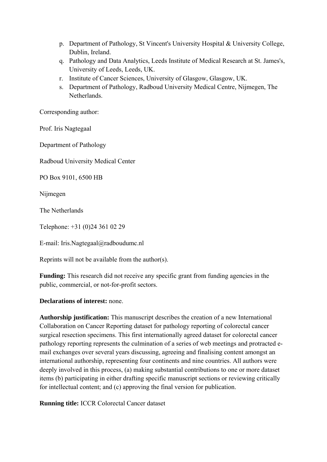- p. Department of Pathology, St Vincent's University Hospital & University College, Dublin, Ireland.
- q. Pathology and Data Analytics, Leeds Institute of Medical Research at St. James's, University of Leeds, Leeds, UK.
- r. Institute of Cancer Sciences, University of Glasgow, Glasgow, UK.
- s. Department of Pathology, Radboud University Medical Centre, Nijmegen, The **Netherlands**

Corresponding author:

Prof. Iris Nagtegaal

Department of Pathology

Radboud University Medical Center

PO Box 9101, 6500 HB

Nijmegen

The Netherlands

Telephone: +31 (0)24 361 02 29

E-mail: Iris.Nagtegaal@radboudumc.nl

Reprints will not be available from the author(s).

**Funding:** This research did not receive any specific grant from funding agencies in the public, commercial, or not-for-profit sectors.

### **Declarations of interest:** none.

**Authorship justification:** This manuscript describes the creation of a new International Collaboration on Cancer Reporting dataset for pathology reporting of colorectal cancer surgical resection specimens. This first internationally agreed dataset for colorectal cancer pathology reporting represents the culmination of a series of web meetings and protracted email exchanges over several years discussing, agreeing and finalising content amongst an international authorship, representing four continents and nine countries. All authors were deeply involved in this process, (a) making substantial contributions to one or more dataset items (b) participating in either drafting specific manuscript sections or reviewing critically for intellectual content; and (c) approving the final version for publication.

**Running title:** ICCR Colorectal Cancer dataset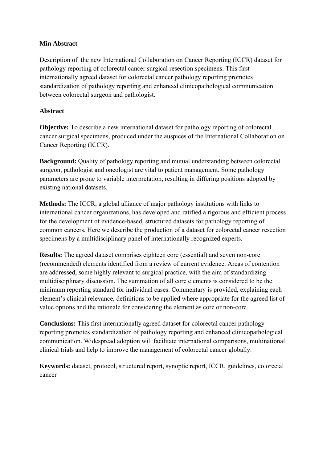### **Min Abstract**

Description of the new International Collaboration on Cancer Reporting (ICCR) dataset for pathology reporting of colorectal cancer surgical resection specimens. This first internationally agreed dataset for colorectal cancer pathology reporting promotes standardization of pathology reporting and enhanced clinicopathological communication between colorectal surgeon and pathologist.

### **Abstract**

**Objective:** To describe a new international dataset for pathology reporting of colorectal cancer surgical specimens, produced under the auspices of the International Collaboration on Cancer Reporting (ICCR).

**Background:** Quality of pathology reporting and mutual understanding between colorectal surgeon, pathologist and oncologist are vital to patient management. Some pathology parameters are prone to variable interpretation, resulting in differing positions adopted by existing national datasets.

**Methods:** The ICCR, a global alliance of major pathology institutions with links to international cancer organizations, has developed and ratified a rigorous and efficient process for the development of evidence-based, structured datasets for pathology reporting of common cancers. Here we describe the production of a dataset for colorectal cancer resection specimens by a multidisciplinary panel of internationally recognized experts.

**Results:** The agreed dataset comprises eighteen core (essential) and seven non-core (recommended) elements identified from a review of current evidence. Areas of contention are addressed, some highly relevant to surgical practice, with the aim of standardizing multidisciplinary discussion. The summation of all core elements is considered to be the minimum reporting standard for individual cases. Commentary is provided, explaining each element's clinical relevance, definitions to be applied where appropriate for the agreed list of value options and the rationale for considering the element as core or non-core.

**Conclusions:** This first internationally agreed dataset for colorectal cancer pathology reporting promotes standardization of pathology reporting and enhanced clinicopathological communication. Widespread adoption will facilitate international comparisons, multinational clinical trials and help to improve the management of colorectal cancer globally.

**Keywords:** dataset, protocol, structured report, synoptic report, ICCR, guidelines, colorectal cancer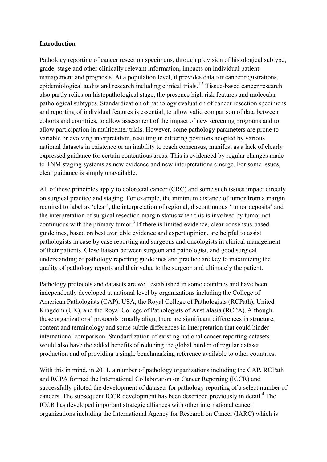#### **Introduction**

Pathology reporting of cancer resection specimens, through provision of histological subtype, grade, stage and other clinically relevant information, impacts on individual patient management and prognosis. At a population level, it provides data for cancer registrations, epidemiological audits and research including clinical trials.<sup>1,2</sup> Tissue-based cancer research also partly relies on histopathological stage, the presence high risk features and molecular pathological subtypes. Standardization of pathology evaluation of cancer resection specimens and reporting of individual features is essential, to allow valid comparison of data between cohorts and countries, to allow assessment of the impact of new screening programs and to allow participation in multicenter trials. However, some pathology parameters are prone to variable or evolving interpretation, resulting in differing positions adopted by various national datasets in existence or an inability to reach consensus, manifest as a lack of clearly expressed guidance for certain contentious areas. This is evidenced by regular changes made to TNM staging systems as new evidence and new interpretations emerge. For some issues, clear guidance is simply unavailable.

All of these principles apply to colorectal cancer (CRC) and some such issues impact directly on surgical practice and staging. For example, the minimum distance of tumor from a margin required to label as 'clear', the interpretation of regional, discontinuous 'tumor deposits' and the interpretation of surgical resection margin status when this is involved by tumor not continuous with the primary tumor.<sup>3</sup> If there is limited evidence, clear consensus-based guidelines, based on best available evidence and expert opinion, are helpful to assist pathologists in case by case reporting and surgeons and oncologists in clinical management of their patients. Close liaison between surgeon and pathologist, and good surgical understanding of pathology reporting guidelines and practice are key to maximizing the quality of pathology reports and their value to the surgeon and ultimately the patient.

Pathology protocols and datasets are well established in some countries and have been independently developed at national level by organizations including the College of American Pathologists (CAP), USA, the Royal College of Pathologists (RCPath), United Kingdom (UK), and the Royal College of Pathologists of Australasia (RCPA). Although these organizations' protocols broadly align, there are significant differences in structure, content and terminology and some subtle differences in interpretation that could hinder international comparison. Standardization of existing national cancer reporting datasets would also have the added benefits of reducing the global burden of regular dataset production and of providing a single benchmarking reference available to other countries.

With this in mind, in 2011, a number of pathology organizations including the CAP, RCPath and RCPA formed the International Collaboration on Cancer Reporting (ICCR) and successfully piloted the development of datasets for pathology reporting of a select number of cancers. The subsequent ICCR development has been described previously in detail.<sup>4</sup> The ICCR has developed important strategic alliances with other international cancer organizations including the International Agency for Research on Cancer (IARC) which is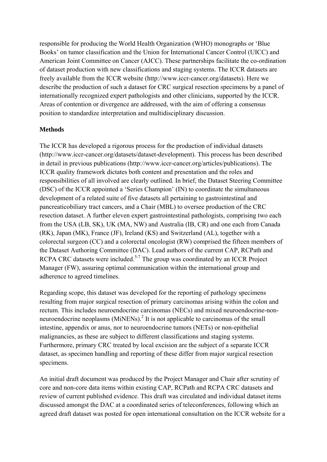responsible for producing the World Health Organization (WHO) monographs or 'Blue Books' on tumor classification and the Union for International Cancer Control (UICC) and American Joint Committee on Cancer (AJCC). These partnerships facilitate the co-ordination of dataset production with new classifications and staging systems. The ICCR datasets are freely available from the ICCR website (http://www.iccr-cancer.org/datasets). Here we describe the production of such a dataset for CRC surgical resection specimens by a panel of internationally recognized expert pathologists and other clinicians, supported by the ICCR. Areas of contention or divergence are addressed, with the aim of offering a consensus position to standardize interpretation and multidisciplinary discussion.

### **Methods**

The ICCR has developed a rigorous process for the production of individual datasets (http://www.iccr-cancer.org/datasets/dataset-development). This process has been described in detail in previous publications (http://www.iccr-cancer.org/articles/publications). The ICCR quality framework dictates both content and presentation and the roles and responsibilities of all involved are clearly outlined. In brief, the Dataset Steering Committee (DSC) of the ICCR appointed a 'Series Champion' (IN) to coordinate the simultaneous development of a related suite of five datasets all pertaining to gastrointestinal and pancreaticobiliary tract cancers, and a Chair (MBL) to oversee production of the CRC resection dataset. A further eleven expert gastrointestinal pathologists, comprising two each from the USA (LB, SK), UK (MA, NW) and Australia (IB, CR) and one each from Canada (RK), Japan (MK), France (JF), Ireland (KS) and Switzerland (AL), together with a colorectal surgeon (CC) and a colorectal oncologist (RW) comprised the fifteen members of the Dataset Authoring Committee (DAC). Lead authors of the current CAP, RCPath and RCPA CRC datasets were included.<sup>5-7</sup> The group was coordinated by an ICCR Project Manager (FW), assuring optimal communication within the international group and adherence to agreed timelines.

Regarding scope, this dataset was developed for the reporting of pathology specimens resulting from major surgical resection of primary carcinomas arising within the colon and rectum. This includes neuroendocrine carcinomas (NECs) and mixed neuroendocrine-nonneuroendocrine neoplasms  $(MiNENs)$ <sup>2</sup> It is not applicable to carcinomas of the small intestine, appendix or anus, nor to neuroendocrine tumors (NETs) or non-epithelial malignancies, as these are subject to different classifications and staging systems. Furthermore, primary CRC treated by local excision are the subject of a separate ICCR dataset, as specimen handling and reporting of these differ from major surgical resection specimens.

An initial draft document was produced by the Project Manager and Chair after scrutiny of core and non-core data items within existing CAP, RCPath and RCPA CRC datasets and review of current published evidence. This draft was circulated and individual dataset items discussed amongst the DAC at a coordinated series of teleconferences, following which an agreed draft dataset was posted for open international consultation on the ICCR website for a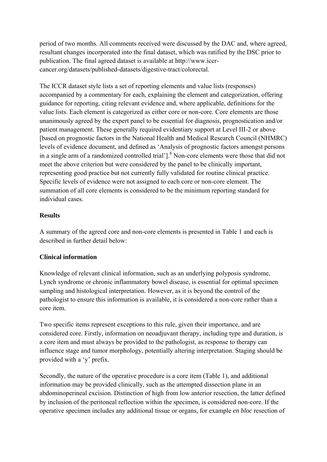period of two months. All comments received were discussed by the DAC and, where agreed, resultant changes incorporated into the final dataset, which was ratified by the DSC prior to publication. The final agreed dataset is available at http://www.iccrcancer.org/datasets/published-datasets/digestive-tract/colorectal.

The ICCR dataset style lists a set of reporting elements and value lists (responses) accompanied by a commentary for each, explaining the element and categorization, offering guidance for reporting, citing relevant evidence and, where applicable, definitions for the value lists. Each element is categorized as either core or non-core. Core elements are those unanimously agreed by the expert panel to be essential for diagnosis, prognostication and/or patient management. These generally required evidentiary support at Level III-2 or above [based on prognostic factors in the National Health and Medical Research Council (NHMRC) levels of evidence document, and defined as 'Analysis of prognostic factors amongst persons in a single arm of a randomized controlled trial'].<sup>8</sup> Non-core elements were those that did not meet the above criterion but were considered by the panel to be clinically important, representing good practice but not currently fully validated for routine clinical practice. Specific levels of evidence were not assigned to each core or non-core element. The summation of all core elements is considered to be the minimum reporting standard for individual cases.

### **Results**

A summary of the agreed core and non-core elements is presented in Table 1 and each is described in further detail below:

# **Clinical information**

Knowledge of relevant clinical information, such as an underlying polyposis syndrome, Lynch syndrome or chronic inflammatory bowel disease, is essential for optimal specimen sampling and histological interpretation. However, as it is beyond the control of the pathologist to ensure this information is available, it is considered a non-core rather than a core item.

Two specific items represent exceptions to this rule, given their importance, and are considered core. Firstly, information on neoadjuvant therapy, including type and duration, is a core item and must always be provided to the pathologist, as response to therapy can influence stage and tumor morphology, potentially altering interpretation. Staging should be provided with a 'y' prefix.

Secondly, the nature of the operative procedure is a core item (Table 1), and additional information may be provided clinically, such as the attempted dissection plane in an abdominoperineal excision. Distinction of high from low anterior resection, the latter defined by inclusion of the peritoneal reflection within the specimen, is considered non-core. If the operative specimen includes any additional tissue or organs, for example *en bloc* resection of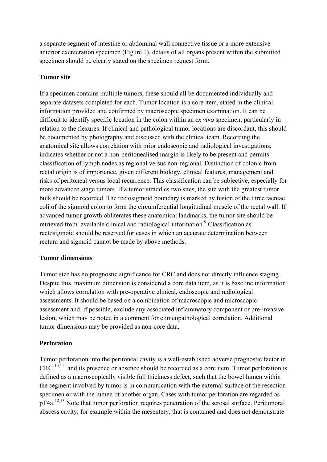a separate segment of intestine or abdominal wall connective tissue or a more extensive anterior exenteration specimen (Figure 1), details of all organs present within the submitted specimen should be clearly stated on the specimen request form.

### **Tumor site**

If a specimen contains multiple tumors, these should all be documented individually and separate datasets completed for each. Tumor location is a core item, stated in the clinical information provided and confirmed by macroscopic specimen examination. It can be difficult to identify specific location in the colon within an *ex vivo* specimen, particularly in relation to the flexures. If clinical and pathological tumor locations are discordant, this should be documented by photography and discussed with the clinical team. Recording the anatomical site allows correlation with prior endoscopic and radiological investigations, indicates whether or not a non-peritonealised margin is likely to be present and permits classification of lymph nodes as regional versus non-regional. Distinction of colonic from rectal origin is of importance, given different biology, clinical features, management and risks of peritoneal versus local recurrence. This classification can be subjective, especially for more advanced stage tumors. If a tumor straddles two sites, the site with the greatest tumor bulk should be recorded. The rectosigmoid boundary is marked by fusion of the three taeniae coli of the sigmoid colon to form the circumferential longitudinal muscle of the rectal wall. If advanced tumor growth obliterates these anatomical landmarks, the tumor site should be retrieved from available clinical and radiological information.<sup>9</sup> Classification as rectosigmoid should be reserved for cases in which an accurate determination between rectum and sigmoid cannot be made by above methods.

#### **Tumor dimensions**

Tumor size has no prognostic significance for CRC and does not directly influence staging. Despite this, maximum dimension is considered a core data item, as it is baseline information which allows correlation with pre-operative clinical, endoscopic and radiological assessments. It should be based on a combination of macroscopic and microscopic assessment and, if possible, exclude any associated inflammatory component or pre-invasive lesion, which may be noted in a comment for clinicopathological correlation. Additional tumor dimensions may be provided as non-core data.

### **Perforation**

Tumor perforation into the peritoneal cavity is a well-established adverse prognostic factor in CRC 10,11 and its presence or absence should be recorded as a core item. Tumor perforation is defined as a macroscopically visible full thickness defect, such that the bowel lumen within the segment involved by tumor is in communication with the external surface of the resection specimen or with the lumen of another organ. Cases with tumor perforation are regarded as pT4a.12,13 Note that tumor perforation requires penetration of the serosal surface. Peritumoral abscess cavity, for example within the mesentery, that is contained and does not demonstrate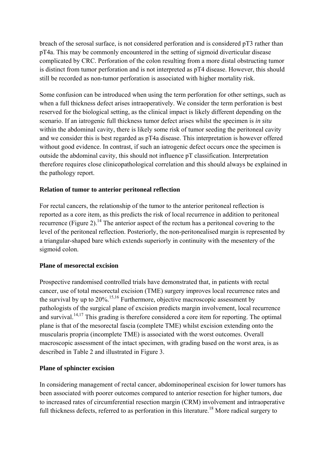breach of the serosal surface, is not considered perforation and is considered pT3 rather than pT4a. This may be commonly encountered in the setting of sigmoid diverticular disease complicated by CRC. Perforation of the colon resulting from a more distal obstructing tumor is distinct from tumor perforation and is not interpreted as pT4 disease. However, this should still be recorded as non-tumor perforation is associated with higher mortality risk.

Some confusion can be introduced when using the term perforation for other settings, such as when a full thickness defect arises intraoperatively. We consider the term perforation is best reserved for the biological setting, as the clinical impact is likely different depending on the scenario. If an iatrogenic full thickness tumor defect arises whilst the specimen is *in situ* within the abdominal cavity, there is likely some risk of tumor seeding the peritoneal cavity and we consider this is best regarded as pT4a disease. This interpretation is however offered without good evidence. In contrast, if such an iatrogenic defect occurs once the specimen is outside the abdominal cavity, this should not influence pT classification. Interpretation therefore requires close clinicopathological correlation and this should always be explained in the pathology report.

### **Relation of tumor to anterior peritoneal reflection**

For rectal cancers, the relationship of the tumor to the anterior peritoneal reflection is reported as a core item, as this predicts the risk of local recurrence in addition to peritoneal recurrence (Figure 2).<sup>14</sup> The anterior aspect of the rectum has a peritoneal covering to the level of the peritoneal reflection. Posteriorly, the non-peritonealised margin is represented by a triangular-shaped bare which extends superiorly in continuity with the mesentery of the sigmoid colon.

### **Plane of mesorectal excision**

Prospective randomised controlled trials have demonstrated that, in patients with rectal cancer, use of total mesorectal excision (TME) surgery improves local recurrence rates and the survival by up to  $20\%$ <sup>15,16</sup> Furthermore, objective macroscopic assessment by pathologists of the surgical plane of excision predicts margin involvement, local recurrence and survival.<sup>14,17</sup> This grading is therefore considered a core item for reporting. The optimal plane is that of the mesorectal fascia (complete TME) whilst excision extending onto the muscularis propria (incomplete TME) is associated with the worst outcomes. Overall macroscopic assessment of the intact specimen, with grading based on the worst area, is as described in Table 2 and illustrated in Figure 3.

### **Plane of sphincter excision**

In considering management of rectal cancer, abdominoperineal excision for lower tumors has been associated with poorer outcomes compared to anterior resection for higher tumors, due to increased rates of circumferential resection margin (CRM) involvement and intraoperative full thickness defects, referred to as perforation in this literature.<sup>18</sup> More radical surgery to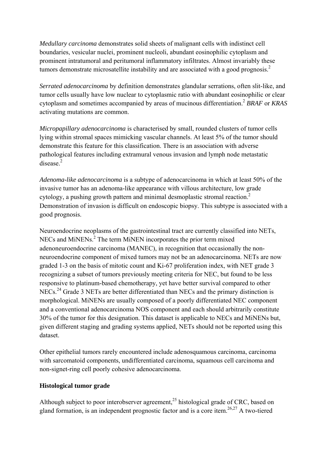*Medullary carcinoma* demonstrates solid sheets of malignant cells with indistinct cell boundaries, vesicular nuclei, prominent nucleoli, abundant eosinophilic cytoplasm and prominent intratumoral and peritumoral inflammatory infiltrates. Almost invariably these tumors demonstrate microsatellite instability and are associated with a good prognosis. $2$ 

*Serrated adenocarcinoma* by definition demonstrates glandular serrations, often slit-like, and tumor cells usually have low nuclear to cytoplasmic ratio with abundant eosinophilic or clear cytoplasm and sometimes accompanied by areas of mucinous differentiation.2 *BRAF* or *KRAS* activating mutations are common.

*Micropapillary adenocarcinoma* is characterised by small, rounded clusters of tumor cells lying within stromal spaces mimicking vascular channels. At least 5% of the tumor should demonstrate this feature for this classification. There is an association with adverse pathological features including extramural venous invasion and lymph node metastatic disease.<sup>2</sup>

*Adenoma-like adenocarcinoma* is a subtype of adenocarcinoma in which at least 50% of the invasive tumor has an adenoma-like appearance with villous architecture, low grade cytology, a pushing growth pattern and minimal desmoplastic stromal reaction.2 Demonstration of invasion is difficult on endoscopic biopsy. This subtype is associated with a good prognosis.

Neuroendocrine neoplasms of the gastrointestinal tract are currently classified into NETs, NECs and MiNENs.<sup>2</sup> The term MiNEN incorporates the prior term mixed adenoneuroendocrine carcinoma (MANEC), in recognition that occasionally the nonneuroendocrine component of mixed tumors may not be an adenocarcinoma. NETs are now graded 1-3 on the basis of mitotic count and Ki-67 proliferation index, with NET grade 3 recognizing a subset of tumors previously meeting criteria for NEC, but found to be less responsive to platinum-based chemotherapy, yet have better survival compared to other NECs.<sup>24</sup> Grade 3 NETs are better differentiated than NECs and the primary distinction is morphological. MiNENs are usually composed of a poorly differentiated NEC component and a conventional adenocarcinoma NOS component and each should arbitrarily constitute 30% of the tumor for this designation. This dataset is applicable to NECs and MiNENs but, given different staging and grading systems applied, NETs should not be reported using this dataset.

Other epithelial tumors rarely encountered include adenosquamous carcinoma, carcinoma with sarcomatoid components, undifferentiated carcinoma, squamous cell carcinoma and non-signet-ring cell poorly cohesive adenocarcinoma.

# **Histological tumor grade**

Although subject to poor interobserver agreement.<sup>25</sup> histological grade of CRC, based on gland formation, is an independent prognostic factor and is a core item.<sup>26,27</sup> A two-tiered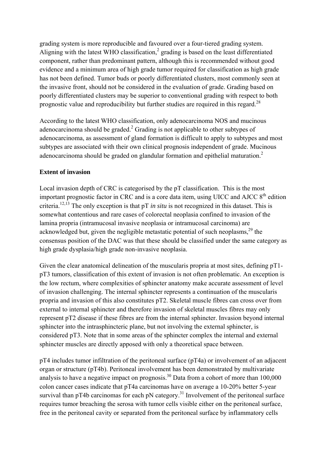grading system is more reproducible and favoured over a four-tiered grading system. Aligning with the latest WHO classification, $\frac{2}{3}$  grading is based on the least differentiated component, rather than predominant pattern, although this is recommended without good evidence and a minimum area of high grade tumor required for classification as high grade has not been defined. Tumor buds or poorly differentiated clusters, most commonly seen at the invasive front, should not be considered in the evaluation of grade. Grading based on poorly differentiated clusters may be superior to conventional grading with respect to both prognostic value and reproducibility but further studies are required in this regard.<sup>28</sup>

According to the latest WHO classification, only adenocarcinoma NOS and mucinous adenocarcinoma should be graded.<sup>2</sup> Grading is not applicable to other subtypes of adenocarcinoma, as assessment of gland formation is difficult to apply to subtypes and most subtypes are associated with their own clinical prognosis independent of grade. Mucinous adenocarcinoma should be graded on glandular formation and epithelial maturation.<sup>2</sup>

### **Extent of invasion**

Local invasion depth of CRC is categorised by the pT classification. This is the most important prognostic factor in CRC and is a core data item, using UICC and AJCC  $8<sup>th</sup>$  edition criteria.12,13 The only exception is that pT *in situ* is not recognized in this dataset. This is somewhat contentious and rare cases of colorectal neoplasia confined to invasion of the lamina propria (intramucosal invasive neoplasia or intramucosal carcinoma) are acknowledged but, given the negligible metastatic potential of such neoplasms,  $29$  the consensus position of the DAC was that these should be classified under the same category as high grade dysplasia/high grade non-invasive neoplasia.

Given the clear anatomical delineation of the muscularis propria at most sites, defining pT1 pT3 tumors, classification of this extent of invasion is not often problematic. An exception is the low rectum, where complexities of sphincter anatomy make accurate assessment of level of invasion challenging. The internal sphincter represents a continuation of the muscularis propria and invasion of this also constitutes pT2. Skeletal muscle fibres can cross over from external to internal sphincter and therefore invasion of skeletal muscles fibres may only represent pT2 disease if these fibres are from the internal sphincter. Invasion beyond internal sphincter into the intrasphincteric plane, but not involving the external sphincter, is considered pT3. Note that in some areas of the sphincter complex the internal and external sphincter muscles are directly apposed with only a theoretical space between.

pT4 includes tumor infiltration of the peritoneal surface (pT4a) or involvement of an adjacent organ or structure (pT4b). Peritoneal involvement has been demonstrated by multivariate analysis to have a negative impact on prognosis.<sup>30</sup> Data from a cohort of more than  $100,000$ colon cancer cases indicate that pT4a carcinomas have on average a 10-20% better 5-year survival than pT4b carcinomas for each pN category.<sup>31</sup> Involvement of the peritoneal surface requires tumor breaching the serosa with tumor cells visible either on the peritoneal surface, free in the peritoneal cavity or separated from the peritoneal surface by inflammatory cells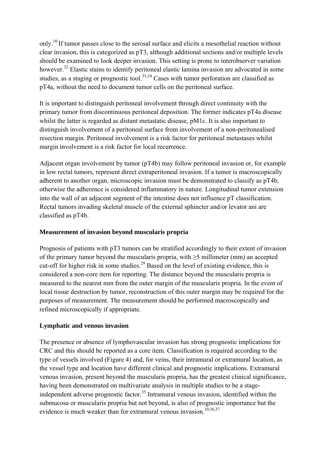only.10 If tumor passes close to the serosal surface and elicits a mesothelial reaction without clear invasion, this is categorized as pT3, although additional sections and/or multiple levels should be examined to look deeper invasion. This setting is prone to interobserver variation however.<sup>32</sup> Elastic stains to identify peritoneal elastic lamina invasion are advocated in some studies, as a staging or prognostic tool.<sup>33,34</sup> Cases with tumor perforation are classified as pT4a, without the need to document tumor cells on the peritoneal surface.

It is important to distinguish peritoneal involvement through direct continuity with the primary tumor from discontinuous peritoneal deposition. The former indicates pT4a disease whilst the latter is regarded as distant metastatic disease, pM1c. It is also important to distinguish involvement of a peritoneal surface from involvement of a non-peritonealised resection margin. Peritoneal involvement is a risk factor for peritoneal metastases whilst margin involvement is a risk factor for local recurrence.

Adjacent organ involvement by tumor (pT4b) may follow peritoneal invasion or, for example in low rectal tumors, represent direct extraperitoneal invasion. If a tumor is macroscopically adherent to another organ, microscopic invasion must be demonstrated to classify as pT4b, otherwise the adherence is considered inflammatory in nature. Longitudinal tumor extension into the wall of an adjacent segment of the intestine does not influence pT classification. Rectal tumors invading skeletal muscle of the external sphincter and/or levator ani are classified as pT4b.

### **Measurement of invasion beyond muscularis propria**

Prognosis of patients with pT3 tumors can be stratified accordingly to their extent of invasion of the primary tumor beyond the muscularis propria, with ≥5 millimeter (mm) an accepted cut-off for higher risk in some studies.<sup>29</sup> Based on the level of existing evidence, this is considered a non-core item for reporting. The distance beyond the muscularis propria is measured to the nearest mm from the outer margin of the muscularis propria. In the event of local tissue destruction by tumor, reconstruction of this outer margin may be required for the purposes of measurement. The measurement should be performed macroscopically and refined microscopically if appropriate.

# **Lymphatic and venous invasion**

The presence or absence of lymphovascular invasion has strong prognostic implications for CRC and this should be reported as a core item. Classification is required according to the type of vessels involved (Figure 4) and, for veins, their intramural or extramural location, as the vessel type and location have different clinical and prognostic implications. Extramural venous invasion, present beyond the muscularis propria, has the greatest clinical significance, having been demonstrated on multivariate analysis in multiple studies to be a stageindependent adverse prognostic factor.<sup>35</sup> Intramural venous invasion, identified within the submucosa or muscularis propria but not beyond, is also of prognostic importance but the evidence is much weaker than for extramural venous invasion.<sup>10,36,37</sup>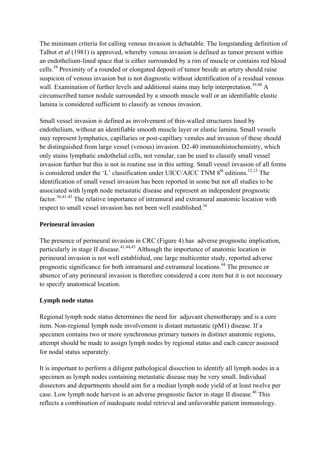The minimum criteria for calling venous invasion is debatable. The longstanding definition of Talbot *et al* (1981) is approved, whereby venous invasion is defined as tumor present within an endothelium-lined space that is either surrounded by a rim of muscle or contains red blood cells.38 Proximity of a rounded or elongated deposit of tumor beside an artery should raise suspicion of venous invasion but is not diagnostic without identification of a residual venous wall. Examination of further levels and additional stains may help interpretation.<sup>39,40</sup> A circumscribed tumor nodule surrounded by a smooth muscle wall or an identifiable elastic lamina is considered sufficient to classify as venous invasion.

Small vessel invasion is defined as involvement of thin-walled structures lined by endothelium, without an identifiable smooth muscle layer or elastic lamina. Small vessels may represent lymphatics, capillaries or post-capillary venules and invasion of these should be distinguished from large vessel (venous) invasion. D2-40 immunohistochemistry, which only stains lymphatic endothelial cells, not venular, can be used to classify small vessel invasion further but this is not in routine use in this setting. Small vessel invasion of all forms is considered under the 'L' classification under UICC/AJCC TNM  $8<sup>th</sup>$  editions.<sup>12,13</sup> The identification of small vessel invasion has been reported in some but not all studies to be associated with lymph node metastatic disease and represent an independent prognostic factor.<sup>36,41-43</sup> The relative importance of intramural and extramural anatomic location with respect to small vessel invasion has not been well established.<sup>36</sup>

### **Perineural invasion**

The presence of perineural invasion in CRC (Figure 4) has adverse prognostic implication, particularly in stage II disease.<sup>41,44,45</sup> Although the importance of anatomic location in perineural invasion is not well established, one large multicenter study, reported adverse prognostic significance for both intramural and extramural locations.44 The presence or absence of any perineural invasion is therefore considered a core item but it is not necessary to specify anatomical location.

### **Lymph node status**

Regional lymph node status determines the need for adjuvant chemotherapy and is a core item. Non-regional lymph node involvement is distant metastatic (pM1) disease. If a specimen contains two or more synchronous primary tumors in distinct anatomic regions, attempt should be made to assign lymph nodes by regional status and each cancer assessed for nodal status separately.

It is important to perform a diligent pathological dissection to identify all lymph nodes in a specimen as lymph nodes containing metastatic disease may be very small. Individual dissectors and departments should aim for a median lymph node yield of at least twelve per case. Low lymph node harvest is an adverse prognostic factor in stage II disease.<sup>46</sup> This reflects a combination of inadequate nodal retrieval and unfavorable patient immunology.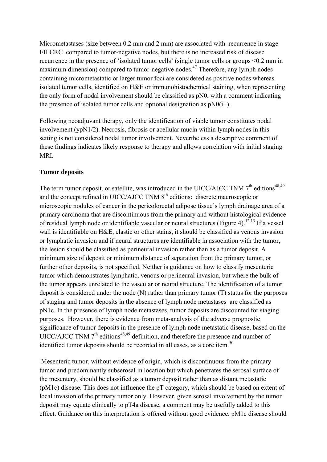Micrometastases (size between 0.2 mm and 2 mm) are associated with recurrence in stage I/II CRC compared to tumor-negative nodes, but there is no increased risk of disease recurrence in the presence of 'isolated tumor cells' (single tumor cells or groups <0.2 mm in maximum dimension) compared to tumor-negative nodes.<sup>47</sup> Therefore, any lymph nodes containing micrometastatic or larger tumor foci are considered as positive nodes whereas isolated tumor cells, identified on H&E or immunohistochemical staining, when representing the only form of nodal involvement should be classified as pN0, with a comment indicating the presence of isolated tumor cells and optional designation as  $pN0(i+)$ .

Following neoadjuvant therapy, only the identification of viable tumor constitutes nodal involvement (ypN1/2). Necrosis, fibrosis or acellular mucin within lymph nodes in this setting is not considered nodal tumor involvement. Nevertheless a descriptive comment of these findings indicates likely response to therapy and allows correlation with initial staging MRI.

### **Tumor deposits**

The term tumor deposit, or satellite, was introduced in the UICC/AJCC TNM  $7<sup>th</sup>$  editions<sup>48,49</sup> and the concept refined in UICC/AJCC TNM 8<sup>th</sup> editions: discrete macroscopic or microscopic nodules of cancer in the pericolorectal adipose tissue's lymph drainage area of a primary carcinoma that are discontinuous from the primary and without histological evidence of residual lymph node or identifiable vascular or neural structures (Figure 4).<sup>12,13</sup> If a vessel wall is identifiable on H&E, elastic or other stains, it should be classified as venous invasion or lymphatic invasion and if neural structures are identifiable in association with the tumor, the lesion should be classified as perineural invasion rather than as a tumor deposit. A minimum size of deposit or minimum distance of separation from the primary tumor, or further other deposits, is not specified. Neither is guidance on how to classify mesenteric tumor which demonstrates lymphatic, venous or perineural invasion, but where the bulk of the tumor appears unrelated to the vascular or neural structure. The identification of a tumor deposit is considered under the node (N) rather than primary tumor (T) status for the purposes of staging and tumor deposits in the absence of lymph node metastases are classified as pN1c. In the presence of lymph node metastases, tumor deposits are discounted for staging purposes. However, there is evidence from meta-analysis of the adverse prognostic significance of tumor deposits in the presence of lymph node metastatic disease, based on the UICC/AJCC TNM  $7<sup>th</sup>$  editions<sup>48,49</sup> definition, and therefore the presence and number of identified tumor deposits should be recorded in all cases, as a core item.<sup>50</sup>

 Mesenteric tumor, without evidence of origin, which is discontinuous from the primary tumor and predominantly subserosal in location but which penetrates the serosal surface of the mesentery, should be classified as a tumor deposit rather than as distant metastatic (pM1c) disease. This does not influence the pT category, which should be based on extent of local invasion of the primary tumor only. However, given serosal involvement by the tumor deposit may equate clinically to pT4a disease, a comment may be usefully added to this effect. Guidance on this interpretation is offered without good evidence. pM1c disease should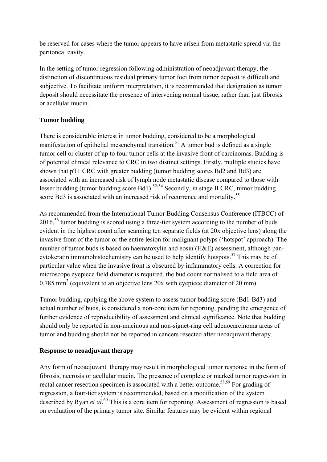be reserved for cases where the tumor appears to have arisen from metastatic spread via the peritoneal cavity.

In the setting of tumor regression following administration of neoadjuvant therapy, the distinction of discontinuous residual primary tumor foci from tumor deposit is difficult and subjective. To facilitate uniform interpretation, it is recommended that designation as tumor deposit should necessitate the presence of intervening normal tissue, rather than just fibrosis or acellular mucin.

# **Tumor budding**

There is considerable interest in tumor budding, considered to be a morphological manifestation of epithelial mesenchymal transition.<sup>51</sup> A tumor bud is defined as a single tumor cell or cluster of up to four tumor cells at the invasive front of carcinomas. Budding is of potential clinical relevance to CRC in two distinct settings. Firstly, multiple studies have shown that pT1 CRC with greater budding (tumor budding scores Bd2 and Bd3) are associated with an increased risk of lymph node metastatic disease compared to those with lesser budding (tumor budding score Bd1).<sup>52-54</sup> Secondly, in stage II CRC, tumor budding score Bd3 is associated with an increased risk of recurrence and mortality.<sup>55</sup>

As recommended from the International Tumor Budding Consensus Conference (ITBCC) of  $2016<sup>56</sup>$  tumor budding is scored using a three-tier system according to the number of buds evident in the highest count after scanning ten separate fields (at 20x objective lens) along the invasive front of the tumor or the entire lesion for malignant polyps ('hotspot' approach). The number of tumor buds is based on haematoxylin and eosin (H&E) assessment, although pancytokeratin immunohistochemistry can be used to help identify hotspots.<sup>57</sup> This may be of particular value when the invasive front is obscured by inflammatory cells. A correction for microscope eyepiece field diameter is required, the bud count normalised to a field area of 0.785 mm<sup>2</sup> (equivalent to an objective lens 20x with eyepiece diameter of 20 mm).

Tumor budding, applying the above system to assess tumor budding score (Bd1-Bd3) and actual number of buds, is considered a non-core item for reporting, pending the emergence of further evidence of reproducibility of assessment and clinical significance. Note that budding should only be reported in non-mucinous and non-signet-ring cell adenocarcinoma areas of tumor and budding should not be reported in cancers resected after neoadjuvant therapy.

# **Response to neoadjuvant therapy**

Any form of neoadjuvant therapy may result in morphological tumor response in the form of fibrosis, necrosis or acellular mucin. The presence of complete or marked tumor regression in rectal cancer resection specimen is associated with a better outcome.<sup>58,59</sup> For grading of regression, a four-tier system is recommended, based on a modification of the system described by Ryan *et al.*60 This is a core item for reporting. Assessment of regression is based on evaluation of the primary tumor site. Similar features may be evident within regional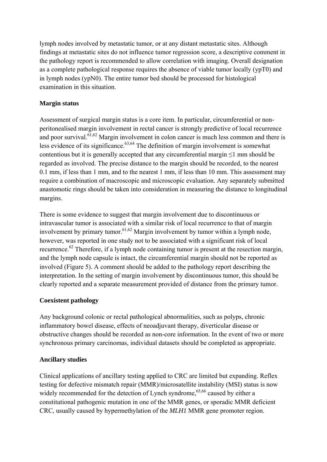lymph nodes involved by metastatic tumor, or at any distant metastatic sites. Although findings at metastatic sites do not influence tumor regression score, a descriptive comment in the pathology report is recommended to allow correlation with imaging. Overall designation as a complete pathological response requires the absence of viable tumor locally (ypT0) and in lymph nodes (ypN0). The entire tumor bed should be processed for histological examination in this situation.

# **Margin status**

Assessment of surgical margin status is a core item. In particular, circumferential or nonperitonealised margin involvement in rectal cancer is strongly predictive of local recurrence and poor survival. $61,62$  Margin involvement in colon cancer is much less common and there is less evidence of its significance.<sup>63,64</sup> The definition of margin involvement is somewhat contentious but it is generally accepted that any circumferential margin ≤1 mm should be regarded as involved. The precise distance to the margin should be recorded, to the nearest 0.1 mm, if less than 1 mm, and to the nearest 1 mm, if less than 10 mm. This assessment may require a combination of macroscopic and microscopic evaluation. Any separately submitted anastomotic rings should be taken into consideration in measuring the distance to longitudinal margins.

There is some evidence to suggest that margin involvement due to discontinuous or intravascular tumor is associated with a similar risk of local recurrence to that of margin involvement by primary tumor.<sup>61,62</sup> Margin involvement by tumor within a lymph node, however, was reported in one study not to be associated with a significant risk of local recurrence.<sup>62</sup> Therefore, if a lymph node containing tumor is present at the resection margin, and the lymph node capsule is intact, the circumferential margin should not be reported as involved (Figure 5). A comment should be added to the pathology report describing the interpretation. In the setting of margin involvement by discontinuous tumor, this should be clearly reported and a separate measurement provided of distance from the primary tumor.

# **Coexistent pathology**

Any background colonic or rectal pathological abnormalities, such as polyps, chronic inflammatory bowel disease, effects of neoadjuvant therapy, diverticular disease or obstructive changes should be recorded as non-core information. In the event of two or more synchronous primary carcinomas, individual datasets should be completed as appropriate.

# **Ancillary studies**

Clinical applications of ancillary testing applied to CRC are limited but expanding. Reflex testing for defective mismatch repair (MMR)/microsatellite instability (MSI) status is now widely recommended for the detection of Lynch syndrome,  $65,66$  caused by either a constitutional pathogenic mutation in one of the MMR genes, or sporadic MMR deficient CRC, usually caused by hypermethylation of the *MLH1* MMR gene promoter region.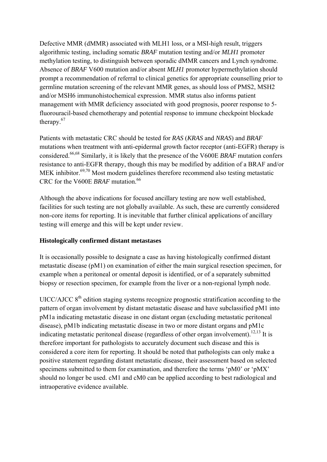Defective MMR (dMMR) associated with MLH1 loss, or a MSI-high result, triggers algorithmic testing, including somatic *BRAF* mutation testing and/or *MLH1* promoter methylation testing, to distinguish between sporadic dMMR cancers and Lynch syndrome. Absence of *BRAF* V600 mutation and/or absent *MLH1* promoter hypermethylation should prompt a recommendation of referral to clinical genetics for appropriate counselling prior to germline mutation screening of the relevant MMR genes, as should loss of PMS2, MSH2 and/or MSH6 immunohistochemical expression. MMR status also informs patient management with MMR deficiency associated with good prognosis, poorer response to 5 fluorouracil-based chemotherapy and potential response to immune checkpoint blockade therapy.<sup>67</sup>

Patients with metastatic CRC should be tested for *RAS* (*KRAS* and *NRAS*) and *BRAF* mutations when treatment with anti-epidermal growth factor receptor (anti-EGFR) therapy is considered.66,68 Similarly, it is likely that the presence of the V600E *BRAF* mutation confers resistance to anti-EGFR therapy, though this may be modified by addition of a BRAF and/or MEK inhibitor.<sup>69,70</sup> Most modern guidelines therefore recommend also testing metastatic CRC for the V600E *BRAF* mutation.<sup>66</sup>

Although the above indications for focused ancillary testing are now well established, facilities for such testing are not globally available. As such, these are currently considered non-core items for reporting. It is inevitable that further clinical applications of ancillary testing will emerge and this will be kept under review.

### **Histologically confirmed distant metastases**

It is occasionally possible to designate a case as having histologically confirmed distant metastatic disease (pM1) on examination of either the main surgical resection specimen, for example when a peritoneal or omental deposit is identified, or of a separately submitted biopsy or resection specimen, for example from the liver or a non-regional lymph node.

UICC/AJCC  $8<sup>th</sup>$  edition staging systems recognize prognostic stratification according to the pattern of organ involvement by distant metastatic disease and have subclassified pM1 into pM1a indicating metastatic disease in one distant organ (excluding metastatic peritoneal disease), pM1b indicating metastatic disease in two or more distant organs and pM1c indicating metastatic peritoneal disease (regardless of other organ involvement).<sup>12,13</sup> It is therefore important for pathologists to accurately document such disease and this is considered a core item for reporting. It should be noted that pathologists can only make a positive statement regarding distant metastatic disease, their assessment based on selected specimens submitted to them for examination, and therefore the terms 'pM0' or 'pMX' should no longer be used. cM1 and cM0 can be applied according to best radiological and intraoperative evidence available.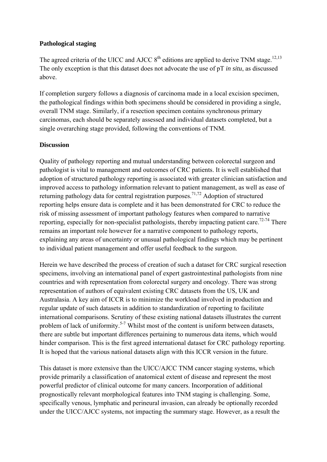### **Pathological staging**

The agreed criteria of the UICC and AJCC  $8<sup>th</sup>$  editions are applied to derive TNM stage.<sup>12,13</sup> The only exception is that this dataset does not advocate the use of pT *in situ*, as discussed above.

If completion surgery follows a diagnosis of carcinoma made in a local excision specimen, the pathological findings within both specimens should be considered in providing a single, overall TNM stage. Similarly, if a resection specimen contains synchronous primary carcinomas, each should be separately assessed and individual datasets completed, but a single overarching stage provided, following the conventions of TNM.

### **Discussion**

Quality of pathology reporting and mutual understanding between colorectal surgeon and pathologist is vital to management and outcomes of CRC patients. It is well established that adoption of structured pathology reporting is associated with greater clinician satisfaction and improved access to pathology information relevant to patient management, as well as ease of returning pathology data for central registration purposes.<sup>71,72</sup> Adoption of structured reporting helps ensure data is complete and it has been demonstrated for CRC to reduce the risk of missing assessment of important pathology features when compared to narrative reporting, especially for non-specialist pathologists, thereby impacting patient care.<sup>72-74</sup> There remains an important role however for a narrative component to pathology reports, explaining any areas of uncertainty or unusual pathological findings which may be pertinent to individual patient management and offer useful feedback to the surgeon.

Herein we have described the process of creation of such a dataset for CRC surgical resection specimens, involving an international panel of expert gastrointestinal pathologists from nine countries and with representation from colorectal surgery and oncology. There was strong representation of authors of equivalent existing CRC datasets from the US, UK and Australasia. A key aim of ICCR is to minimize the workload involved in production and regular update of such datasets in addition to standardization of reporting to facilitate international comparisons. Scrutiny of these existing national datasets illustrates the current problem of lack of uniformity.<sup>5-7</sup> Whilst most of the content is uniform between datasets, there are subtle but important differences pertaining to numerous data items, which would hinder comparison. This is the first agreed international dataset for CRC pathology reporting. It is hoped that the various national datasets align with this ICCR version in the future.

This dataset is more extensive than the UICC/AJCC TNM cancer staging systems, which provide primarily a classification of anatomical extent of disease and represent the most powerful predictor of clinical outcome for many cancers. Incorporation of additional prognostically relevant morphological features into TNM staging is challenging. Some, specifically venous, lymphatic and perineural invasion, can already be optionally recorded under the UICC/AJCC systems, not impacting the summary stage. However, as a result the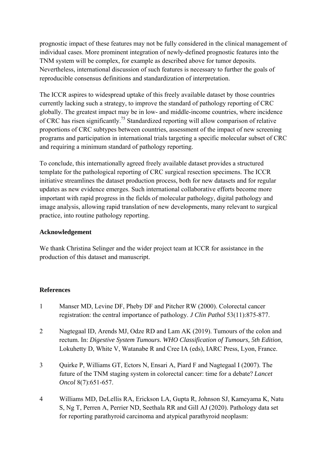prognostic impact of these features may not be fully considered in the clinical management of individual cases. More prominent integration of newly-defined prognostic features into the TNM system will be complex, for example as described above for tumor deposits. Nevertheless, international discussion of such features is necessary to further the goals of reproducible consensus definitions and standardization of interpretation.

The ICCR aspires to widespread uptake of this freely available dataset by those countries currently lacking such a strategy, to improve the standard of pathology reporting of CRC globally. The greatest impact may be in low- and middle-income countries, where incidence of CRC has risen significantly.75 Standardized reporting will allow comparison of relative proportions of CRC subtypes between countries, assessment of the impact of new screening programs and participation in international trials targeting a specific molecular subset of CRC and requiring a minimum standard of pathology reporting.

To conclude, this internationally agreed freely available dataset provides a structured template for the pathological reporting of CRC surgical resection specimens. The ICCR initiative streamlines the dataset production process, both for new datasets and for regular updates as new evidence emerges. Such international collaborative efforts become more important with rapid progress in the fields of molecular pathology, digital pathology and image analysis, allowing rapid translation of new developments, many relevant to surgical practice, into routine pathology reporting.

### **Acknowledgement**

We thank Christina Selinger and the wider project team at ICCR for assistance in the production of this dataset and manuscript.

# **References**

- 1 Manser MD, Levine DF, Pheby DF and Pitcher RW (2000). Colorectal cancer registration: the central importance of pathology. *J Clin Pathol* 53(11):875-877.
- 2 Nagtegaal ID, Arends MJ, Odze RD and Lam AK (2019). Tumours of the colon and rectum. In: *Digestive System Tumours. WHO Classification of Tumours, 5th Edition*, Lokuhetty D, White V, Watanabe R and Cree IA (eds), IARC Press, Lyon, France.
- 3 Quirke P, Williams GT, Ectors N, Ensari A, Piard F and Nagtegaal I (2007). The future of the TNM staging system in colorectal cancer: time for a debate? *Lancet Oncol* 8(7):651-657.
- 4 Williams MD, DeLellis RA, Erickson LA, Gupta R, Johnson SJ, Kameyama K, Natu S, Ng T, Perren A, Perrier ND, Seethala RR and Gill AJ (2020). Pathology data set for reporting parathyroid carcinoma and atypical parathyroid neoplasm: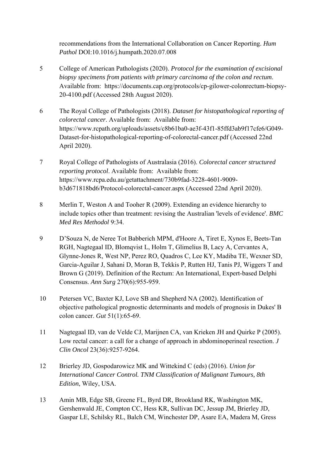recommendations from the International Collaboration on Cancer Reporting. *Hum Pathol* DOI:10.1016/j.humpath.2020.07.008

- 5 College of American Pathologists (2020). *Protocol for the examination of excisional biopsy specimens from patients with primary carcinoma of the colon and rectum*. Available from: https://documents.cap.org/protocols/cp-gilower-colonrectum-biopsy-20-4100.pdf (Accessed 28th August 2020).
- 6 The Royal College of Pathologists (2018). *Dataset for histopathological reporting of colorectal cancer*. Available from: Available from: https://www.rcpath.org/uploads/assets/c8b61ba0-ae3f-43f1-85ffd3ab9f17cfe6/G049- Dataset-for-histopathological-reporting-of-colorectal-cancer.pdf (Accessed 22nd April 2020).
- 7 Royal College of Pathologists of Australasia (2016). *Colorectal cancer structured reporting protocol*. Available from: Available from: https://www.rcpa.edu.au/getattachment/730b9fad-3228-4601-9009 b3d671818bd6/Protocol-colorectal-cancer.aspx (Accessed 22nd April 2020).
- 8 Merlin T, Weston A and Tooher R (2009). Extending an evidence hierarchy to include topics other than treatment: revising the Australian 'levels of evidence'. *BMC Med Res Methodol* 9:34.
- 9 D'Souza N, de Neree Tot Babberich MPM, d'Hoore A, Tiret E, Xynos E, Beets-Tan RGH, Nagtegaal ID, Blomqvist L, Holm T, Glimelius B, Lacy A, Cervantes A, Glynne-Jones R, West NP, Perez RO, Quadros C, Lee KY, Madiba TE, Wexner SD, Garcia-Aguilar J, Sahani D, Moran B, Tekkis P, Rutten HJ, Tanis PJ, Wiggers T and Brown G (2019). Definition of the Rectum: An International, Expert-based Delphi Consensus. *Ann Surg* 270(6):955-959.
- 10 Petersen VC, Baxter KJ, Love SB and Shepherd NA (2002). Identification of objective pathological prognostic determinants and models of prognosis in Dukes' B colon cancer. *Gut* 51(1):65-69.
- 11 Nagtegaal ID, van de Velde CJ, Marijnen CA, van Krieken JH and Quirke P (2005). Low rectal cancer: a call for a change of approach in abdominoperineal resection. *J Clin Oncol* 23(36):9257-9264.
- 12 Brierley JD, Gospodarowicz MK and Wittekind C (eds) (2016). *Union for International Cancer Control. TNM Classification of Malignant Tumours, 8th Edition*, Wiley, USA.
- 13 Amin MB, Edge SB, Greene FL, Byrd DR, Brookland RK, Washington MK, Gershenwald JE, Compton CC, Hess KR, Sullivan DC, Jessup JM, Brierley JD, Gaspar LE, Schilsky RL, Balch CM, Winchester DP, Asare EA, Madera M, Gress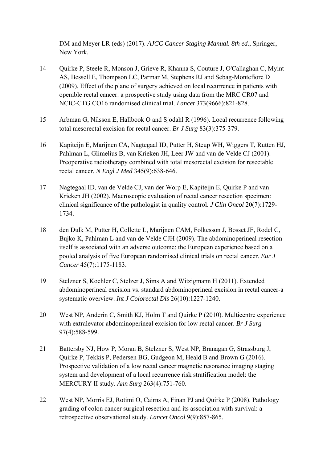DM and Meyer LR (eds) (2017). *AJCC Cancer Staging Manual. 8th ed.*, Springer, New York.

- 14 Quirke P, Steele R, Monson J, Grieve R, Khanna S, Couture J, O'Callaghan C, Myint AS, Bessell E, Thompson LC, Parmar M, Stephens RJ and Sebag-Montefiore D (2009). Effect of the plane of surgery achieved on local recurrence in patients with operable rectal cancer: a prospective study using data from the MRC CR07 and NCIC-CTG CO16 randomised clinical trial. *Lancet* 373(9666):821-828.
- 15 Arbman G, Nilsson E, Hallbook O and Sjodahl R (1996). Local recurrence following total mesorectal excision for rectal cancer. *Br J Surg* 83(3):375-379.
- 16 Kapiteijn E, Marijnen CA, Nagtegaal ID, Putter H, Steup WH, Wiggers T, Rutten HJ, Pahlman L, Glimelius B, van Krieken JH, Leer JW and van de Velde CJ (2001). Preoperative radiotherapy combined with total mesorectal excision for resectable rectal cancer. *N Engl J Med* 345(9):638-646.
- 17 Nagtegaal ID, van de Velde CJ, van der Worp E, Kapiteijn E, Quirke P and van Krieken JH (2002). Macroscopic evaluation of rectal cancer resection specimen: clinical significance of the pathologist in quality control. *J Clin Oncol* 20(7):1729- 1734.
- 18 den Dulk M, Putter H, Collette L, Marijnen CAM, Folkesson J, Bosset JF, Rodel C, Bujko K, Pahlman L and van de Velde CJH (2009). The abdominoperineal resection itself is associated with an adverse outcome: the European experience based on a pooled analysis of five European randomised clinical trials on rectal cancer. *Eur J Cancer* 45(7):1175-1183.
- 19 Stelzner S, Koehler C, Stelzer J, Sims A and Witzigmann H (2011). Extended abdominoperineal excision vs. standard abdominoperineal excision in rectal cancer-a systematic overview. *Int J Colorectal Dis* 26(10):1227-1240.
- 20 West NP, Anderin C, Smith KJ, Holm T and Quirke P (2010). Multicentre experience with extralevator abdominoperineal excision for low rectal cancer. *Br J Surg* 97(4):588-599.
- 21 Battersby NJ, How P, Moran B, Stelzner S, West NP, Branagan G, Strassburg J, Quirke P, Tekkis P, Pedersen BG, Gudgeon M, Heald B and Brown G (2016). Prospective validation of a low rectal cancer magnetic resonance imaging staging system and development of a local recurrence risk stratification model: the MERCURY II study. *Ann Surg* 263(4):751-760.
- 22 West NP, Morris EJ, Rotimi O, Cairns A, Finan PJ and Quirke P (2008). Pathology grading of colon cancer surgical resection and its association with survival: a retrospective observational study. *Lancet Oncol* 9(9):857-865.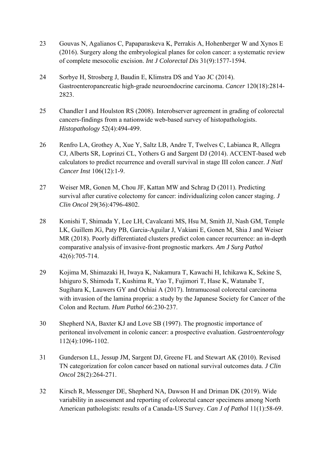- 23 Gouvas N, Agalianos C, Papaparaskeva K, Perrakis A, Hohenberger W and Xynos E (2016). Surgery along the embryological planes for colon cancer: a systematic review of complete mesocolic excision. *Int J Colorectal Dis* 31(9):1577-1594.
- 24 Sorbye H, Strosberg J, Baudin E, Klimstra DS and Yao JC (2014). Gastroenteropancreatic high-grade neuroendocrine carcinoma. *Cancer* 120(18):2814- 2823.
- 25 Chandler I and Houlston RS (2008). Interobserver agreement in grading of colorectal cancers-findings from a nationwide web-based survey of histopathologists. *Histopathology* 52(4):494-499.
- 26 Renfro LA, Grothey A, Xue Y, Saltz LB, Andre T, Twelves C, Labianca R, Allegra CJ, Alberts SR, Loprinzi CL, Yothers G and Sargent DJ (2014). ACCENT-based web calculators to predict recurrence and overall survival in stage III colon cancer. *J Natl Cancer Inst* 106(12):1-9.
- 27 Weiser MR, Gonen M, Chou JF, Kattan MW and Schrag D (2011). Predicting survival after curative colectomy for cancer: individualizing colon cancer staging. *J Clin Oncol* 29(36):4796-4802.
- 28 Konishi T, Shimada Y, Lee LH, Cavalcanti MS, Hsu M, Smith JJ, Nash GM, Temple LK, Guillem JG, Paty PB, Garcia-Aguilar J, Vakiani E, Gonen M, Shia J and Weiser MR (2018). Poorly differentiated clusters predict colon cancer recurrence: an in-depth comparative analysis of invasive-front prognostic markers. *Am J Surg Pathol* 42(6):705-714.
- 29 Kojima M, Shimazaki H, Iwaya K, Nakamura T, Kawachi H, Ichikawa K, Sekine S, Ishiguro S, Shimoda T, Kushima R, Yao T, Fujimori T, Hase K, Watanabe T, Sugihara K, Lauwers GY and Ochiai A (2017). Intramucosal colorectal carcinoma with invasion of the lamina propria: a study by the Japanese Society for Cancer of the Colon and Rectum. *Hum Pathol* 66:230-237.
- 30 Shepherd NA, Baxter KJ and Love SB (1997). The prognostic importance of peritoneal involvement in colonic cancer: a prospective evaluation. *Gastroenterology* 112(4):1096-1102.
- 31 Gunderson LL, Jessup JM, Sargent DJ, Greene FL and Stewart AK (2010). Revised TN categorization for colon cancer based on national survival outcomes data. *J Clin Oncol* 28(2):264-271.
- 32 Kirsch R, Messenger DE, Shepherd NA, Dawson H and Driman DK (2019). Wide variability in assessment and reporting of colorectal cancer specimens among North American pathologists: results of a Canada-US Survey. *Can J of Pathol* 11(1):58-69.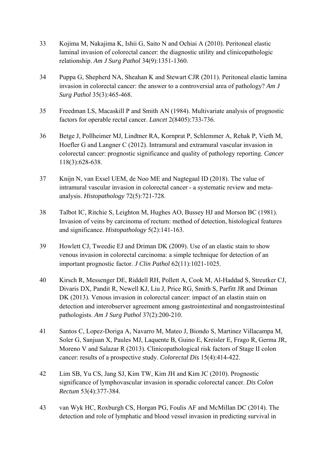- 33 Kojima M, Nakajima K, Ishii G, Saito N and Ochiai A (2010). Peritoneal elastic laminal invasion of colorectal cancer: the diagnostic utility and clinicopathologic relationship. *Am J Surg Pathol* 34(9):1351-1360.
- 34 Puppa G, Shepherd NA, Sheahan K and Stewart CJR (2011). Peritoneal elastic lamina invasion in colorectal cancer: the answer to a controversial area of pathology? *Am J Surg Pathol* 35(3):465-468.
- 35 Freedman LS, Macaskill P and Smith AN (1984). Multivariate analysis of prognostic factors for operable rectal cancer. *Lancet* 2(8405):733-736.
- 36 Betge J, Pollheimer MJ, Lindtner RA, Kornprat P, Schlemmer A, Rehak P, Vieth M, Hoefler G and Langner C (2012). Intramural and extramural vascular invasion in colorectal cancer: prognostic significance and quality of pathology reporting. *Cancer* 118(3):628-638.
- 37 Knijn N, van Exsel UEM, de Noo ME and Nagtegaal ID (2018). The value of intramural vascular invasion in colorectal cancer - a systematic review and metaanalysis. *Histopathology* 72(5):721-728.
- 38 Talbot IC, Ritchie S, Leighton M, Hughes AO, Bussey HJ and Morson BC (1981). Invasion of veins by carcinoma of rectum: method of detection, histological features and significance. *Histopathology* 5(2):141-163.
- 39 Howlett CJ, Tweedie EJ and Driman DK (2009). Use of an elastic stain to show venous invasion in colorectal carcinoma: a simple technique for detection of an important prognostic factor. *J Clin Pathol* 62(11):1021-1025.
- 40 Kirsch R, Messenger DE, Riddell RH, Pollett A, Cook M, Al-Haddad S, Streutker CJ, Divaris DX, Pandit R, Newell KJ, Liu J, Price RG, Smith S, Parfitt JR and Driman DK (2013). Venous invasion in colorectal cancer: impact of an elastin stain on detection and interobserver agreement among gastrointestinal and nongastrointestinal pathologists. *Am J Surg Pathol* 37(2):200-210.
- 41 Santos C, Lopez-Doriga A, Navarro M, Mateo J, Biondo S, Martinez Villacampa M, Soler G, Sanjuan X, Paules MJ, Laquente B, Guino E, Kreisler E, Frago R, Germa JR, Moreno V and Salazar R (2013). Clinicopathological risk factors of Stage II colon cancer: results of a prospective study. *Colorectal Dis* 15(4):414-422.
- 42 Lim SB, Yu CS, Jang SJ, Kim TW, Kim JH and Kim JC (2010). Prognostic significance of lymphovascular invasion in sporadic colorectal cancer. *Dis Colon Rectum* 53(4):377-384.
- 43 van Wyk HC, Roxburgh CS, Horgan PG, Foulis AF and McMillan DC (2014). The detection and role of lymphatic and blood vessel invasion in predicting survival in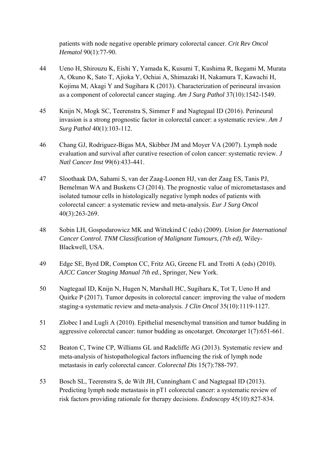patients with node negative operable primary colorectal cancer. *Crit Rev Oncol Hematol* 90(1):77-90.

- 44 Ueno H, Shirouzu K, Eishi Y, Yamada K, Kusumi T, Kushima R, Ikegami M, Murata A, Okuno K, Sato T, Ajioka Y, Ochiai A, Shimazaki H, Nakamura T, Kawachi H, Kojima M, Akagi Y and Sugihara K (2013). Characterization of perineural invasion as a component of colorectal cancer staging. *Am J Surg Pathol* 37(10):1542-1549.
- 45 Knijn N, Mogk SC, Teerenstra S, Simmer F and Nagtegaal ID (2016). Perineural invasion is a strong prognostic factor in colorectal cancer: a systematic review. *Am J Surg Pathol* 40(1):103-112.
- 46 Chang GJ, Rodriguez-Bigas MA, Skibber JM and Moyer VA (2007). Lymph node evaluation and survival after curative resection of colon cancer: systematic review. *J Natl Cancer Inst* 99(6):433-441.
- 47 Sloothaak DA, Sahami S, van der Zaag-Loonen HJ, van der Zaag ES, Tanis PJ, Bemelman WA and Buskens CJ (2014). The prognostic value of micrometastases and isolated tumour cells in histologically negative lymph nodes of patients with colorectal cancer: a systematic review and meta-analysis. *Eur J Surg Oncol* 40(3):263-269.
- 48 Sobin LH, Gospodarowicz MK and Wittekind C (eds) (2009). *Union for International Cancer Control. TNM Classification of Malignant Tumours, (7th ed)*, Wiley-Blackwell, USA.
- 49 Edge SE, Byrd DR, Compton CC, Fritz AG, Greene FL and Trotti A (eds) (2010). *AJCC Cancer Staging Manual 7th ed.*, Springer, New York.
- 50 Nagtegaal ID, Knijn N, Hugen N, Marshall HC, Sugihara K, Tot T, Ueno H and Quirke P (2017). Tumor deposits in colorectal cancer: improving the value of modern staging-a systematic review and meta-analysis. *J Clin Oncol* 35(10):1119-1127.
- 51 Zlobec I and Lugli A (2010). Epithelial mesenchymal transition and tumor budding in aggressive colorectal cancer: tumor budding as oncotarget. *Oncotarget* 1(7):651-661.
- 52 Beaton C, Twine CP, Williams GL and Radcliffe AG (2013). Systematic review and meta-analysis of histopathological factors influencing the risk of lymph node metastasis in early colorectal cancer. *Colorectal Dis* 15(7):788-797.
- 53 Bosch SL, Teerenstra S, de Wilt JH, Cunningham C and Nagtegaal ID (2013). Predicting lymph node metastasis in pT1 colorectal cancer: a systematic review of risk factors providing rationale for therapy decisions. *Endoscopy* 45(10):827-834.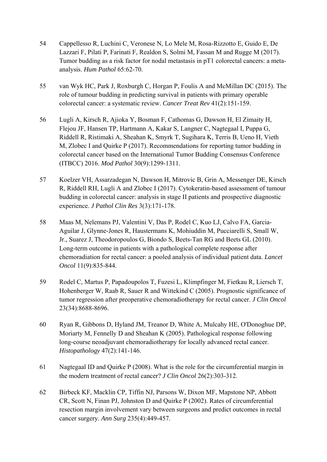- 54 Cappellesso R, Luchini C, Veronese N, Lo Mele M, Rosa-Rizzotto E, Guido E, De Lazzari F, Pilati P, Farinati F, Realdon S, Solmi M, Fassan M and Rugge M (2017). Tumor budding as a risk factor for nodal metastasis in pT1 colorectal cancers: a metaanalysis. *Hum Pathol* 65:62-70.
- 55 van Wyk HC, Park J, Roxburgh C, Horgan P, Foulis A and McMillan DC (2015). The role of tumour budding in predicting survival in patients with primary operable colorectal cancer: a systematic review. *Cancer Treat Rev* 41(2):151-159.
- 56 Lugli A, Kirsch R, Ajioka Y, Bosman F, Cathomas G, Dawson H, El Zimaity H, Flejou JF, Hansen TP, Hartmann A, Kakar S, Langner C, Nagtegaal I, Puppa G, Riddell R, Ristimaki A, Sheahan K, Smyrk T, Sugihara K, Terris B, Ueno H, Vieth M, Zlobec I and Quirke P (2017). Recommendations for reporting tumor budding in colorectal cancer based on the International Tumor Budding Consensus Conference (ITBCC) 2016. *Mod Pathol* 30(9):1299-1311.
- 57 Koelzer VH, Assarzadegan N, Dawson H, Mitrovic B, Grin A, Messenger DE, Kirsch R, Riddell RH, Lugli A and Zlobec I (2017). Cytokeratin-based assessment of tumour budding in colorectal cancer: analysis in stage II patients and prospective diagnostic experience. *J Pathol Clin Res* 3(3):171-178.
- 58 Maas M, Nelemans PJ, Valentini V, Das P, Rodel C, Kuo LJ, Calvo FA, Garcia-Aguilar J, Glynne-Jones R, Haustermans K, Mohiuddin M, Pucciarelli S, Small W, Jr., Suarez J, Theodoropoulos G, Biondo S, Beets-Tan RG and Beets GL (2010). Long-term outcome in patients with a pathological complete response after chemoradiation for rectal cancer: a pooled analysis of individual patient data. *Lancet Oncol* 11(9):835-844.
- 59 Rodel C, Martus P, Papadoupolos T, Fuzesi L, Klimpfinger M, Fietkau R, Liersch T, Hohenberger W, Raab R, Sauer R and Wittekind C (2005). Prognostic significance of tumor regression after preoperative chemoradiotherapy for rectal cancer. *J Clin Oncol* 23(34):8688-8696.
- 60 Ryan R, Gibbons D, Hyland JM, Treanor D, White A, Mulcahy HE, O'Donoghue DP, Moriarty M, Fennelly D and Sheahan K (2005). Pathological response following long-course neoadjuvant chemoradiotherapy for locally advanced rectal cancer. *Histopathology* 47(2):141-146.
- 61 Nagtegaal ID and Quirke P (2008). What is the role for the circumferential margin in the modern treatment of rectal cancer? *J Clin Oncol* 26(2):303-312.
- 62 Birbeck KF, Macklin CP, Tiffin NJ, Parsons W, Dixon MF, Mapstone NP, Abbott CR, Scott N, Finan PJ, Johnston D and Quirke P (2002). Rates of circumferential resection margin involvement vary between surgeons and predict outcomes in rectal cancer surgery. *Ann Surg* 235(4):449-457.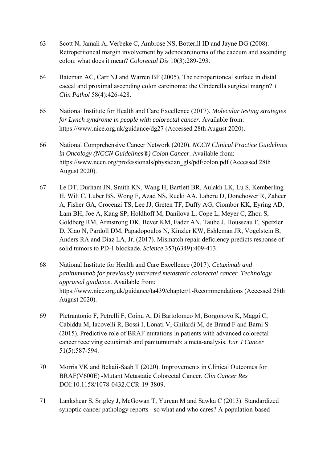- 63 Scott N, Jamali A, Verbeke C, Ambrose NS, Botterill ID and Jayne DG (2008). Retroperitoneal margin involvement by adenocarcinoma of the caecum and ascending colon: what does it mean? *Colorectal Dis* 10(3):289-293.
- 64 Bateman AC, Carr NJ and Warren BF (2005). The retroperitoneal surface in distal caecal and proximal ascending colon carcinoma: the Cinderella surgical margin? *J Clin Pathol* 58(4):426-428.
- 65 National Institute for Health and Care Excellence (2017). *Molecular testing strategies for Lynch syndrome in people with colorectal cancer*. Available from: https://www.nice.org.uk/guidance/dg27 (Accessed 28th August 2020).
- 66 National Comprehensive Cancer Network (2020). *NCCN Clinical Practice Guidelines in Oncology (NCCN Guidelines®) Colon Cancer*. Available from: https://www.nccn.org/professionals/physician\_gls/pdf/colon.pdf (Accessed 28th August 2020).
- 67 Le DT, Durham JN, Smith KN, Wang H, Bartlett BR, Aulakh LK, Lu S, Kemberling H, Wilt C, Luber BS, Wong F, Azad NS, Rucki AA, Laheru D, Donehower R, Zaheer A, Fisher GA, Crocenzi TS, Lee JJ, Greten TF, Duffy AG, Ciombor KK, Eyring AD, Lam BH, Joe A, Kang SP, Holdhoff M, Danilova L, Cope L, Meyer C, Zhou S, Goldberg RM, Armstrong DK, Bever KM, Fader AN, Taube J, Housseau F, Spetzler D, Xiao N, Pardoll DM, Papadopoulos N, Kinzler KW, Eshleman JR, Vogelstein B, Anders RA and Diaz LA, Jr. (2017). Mismatch repair deficiency predicts response of solid tumors to PD-1 blockade. *Science* 357(6349):409-413.
- 68 National Institute for Health and Care Excellence (2017). *Cetuximab and panitumumab for previously untreated metastatic colorectal cancer. Technology appraisal guidance*. Available from: https://www.nice.org.uk/guidance/ta439/chapter/1-Recommendations (Accessed 28th August 2020).
- 69 Pietrantonio F, Petrelli F, Coinu A, Di Bartolomeo M, Borgonovo K, Maggi C, Cabiddu M, Iacovelli R, Bossi I, Lonati V, Ghilardi M, de Braud F and Barni S (2015). Predictive role of BRAF mutations in patients with advanced colorectal cancer receiving cetuximab and panitumumab: a meta-analysis. *Eur J Cancer* 51(5):587-594.
- 70 Morris VK and Bekaii-Saab T (2020). Improvements in Clinical Outcomes for BRAF(V600E) -Mutant Metastatic Colorectal Cancer. *Clin Cancer Res* DOI:10.1158/1078-0432.CCR-19-3809.
- 71 Lankshear S, Srigley J, McGowan T, Yurcan M and Sawka C (2013). Standardized synoptic cancer pathology reports - so what and who cares? A population-based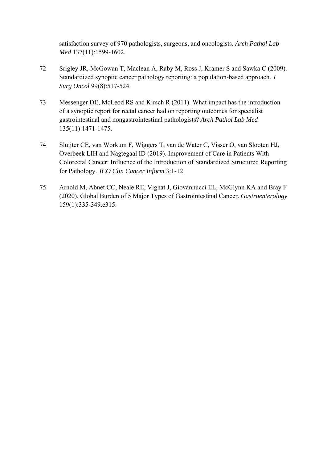satisfaction survey of 970 pathologists, surgeons, and oncologists. *Arch Pathol Lab Med* 137(11):1599-1602.

- 72 Srigley JR, McGowan T, Maclean A, Raby M, Ross J, Kramer S and Sawka C (2009). Standardized synoptic cancer pathology reporting: a population-based approach. *J Surg Oncol* 99(8):517-524.
- 73 Messenger DE, McLeod RS and Kirsch R (2011). What impact has the introduction of a synoptic report for rectal cancer had on reporting outcomes for specialist gastrointestinal and nongastrointestinal pathologists? *Arch Pathol Lab Med* 135(11):1471-1475.
- 74 Sluijter CE, van Workum F, Wiggers T, van de Water C, Visser O, van Slooten HJ, Overbeek LIH and Nagtegaal ID (2019). Improvement of Care in Patients With Colorectal Cancer: Influence of the Introduction of Standardized Structured Reporting for Pathology. *JCO Clin Cancer Inform* 3:1-12.
- 75 Arnold M, Abnet CC, Neale RE, Vignat J, Giovannucci EL, McGlynn KA and Bray F (2020). Global Burden of 5 Major Types of Gastrointestinal Cancer. *Gastroenterology* 159(1):335-349.e315.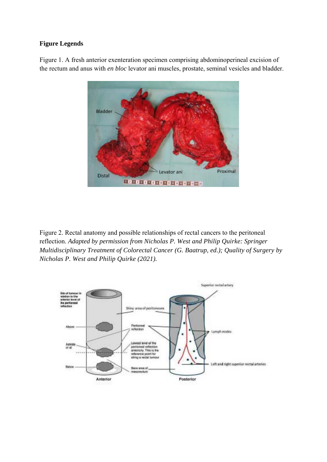#### **Figure Legends**

Figure 1. A fresh anterior exenteration specimen comprising abdominoperineal excision of the rectum and anus with *en bloc* levator ani muscles, prostate, seminal vesicles and bladder.



Figure 2. Rectal anatomy and possible relationships of rectal cancers to the peritoneal reflection. *Adapted by permission from Nicholas P. West and Philip Quirke: Springer Multidisciplinary Treatment of Colorectal Cancer (G. Baatrup, ed.); Quality of Surgery by Nicholas P. West and Philip Quirke (2021).* 

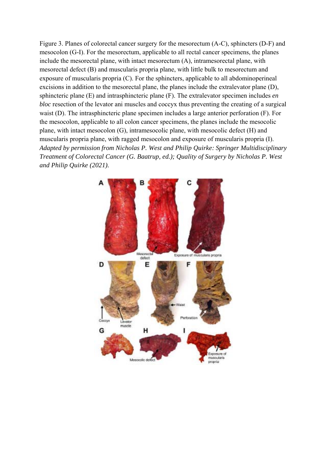Figure 3. Planes of colorectal cancer surgery for the mesorectum (A-C), sphincters (D-F) and mesocolon (G-I). For the mesorectum, applicable to all rectal cancer specimens, the planes include the mesorectal plane, with intact mesorectum (A), intramesorectal plane, with mesorectal defect (B) and muscularis propria plane, with little bulk to mesorectum and exposure of muscularis propria (C). For the sphincters, applicable to all abdominoperineal excisions in addition to the mesorectal plane, the planes include the extralevator plane (D), sphincteric plane (E) and intrasphincteric plane (F). The extralevator specimen includes *en bloc* resection of the levator ani muscles and coccyx thus preventing the creating of a surgical waist (D). The intrasphincteric plane specimen includes a large anterior perforation (F). For the mesocolon, applicable to all colon cancer specimens, the planes include the mesocolic plane, with intact mesocolon (G), intramesocolic plane, with mesocolic defect (H) and muscularis propria plane, with ragged mesocolon and exposure of muscularis propria (I). *Adapted by permission from Nicholas P. West and Philip Quirke: Springer Multidisciplinary Treatment of Colorectal Cancer (G. Baatrup, ed.); Quality of Surgery by Nicholas P. West and Philip Quirke (2021).* 

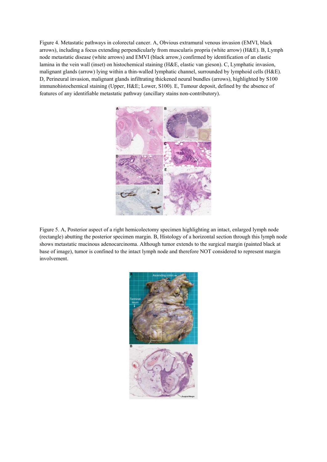Figure 4. Metastatic pathways in colorectal cancer. A, Obvious extramural venous invasion (EMVI, black arrows), including a focus extending perpendicularly from muscularis propria (white arrow) (H&E). B, Lymph node metastatic disease (white arrows) and EMVI (black arrow,) confirmed by identification of an elastic lamina in the vein wall (inset) on histochemical staining (H&E, elastic van gieson). C, Lymphatic invasion, malignant glands (arrow) lying within a thin-walled lymphatic channel, surrounded by lymphoid cells (H&E). D, Perineural invasion, malignant glands infiltrating thickened neural bundles (arrows), highlighted by S100 immunohistochemical staining (Upper, H&E; Lower, S100). E, Tumour deposit, defined by the absence of features of any identifiable metastatic pathway (ancillary stains non-contributory).



Figure 5. A, Posterior aspect of a right hemicolectomy specimen highlighting an intact, enlarged lymph node (rectangle) abutting the posterior specimen margin. B, Histology of a horizontal section through this lymph node shows metastatic mucinous adenocarcinoma. Although tumor extends to the surgical margin (painted black at base of image), tumor is confined to the intact lymph node and therefore NOT considered to represent margin involvement.

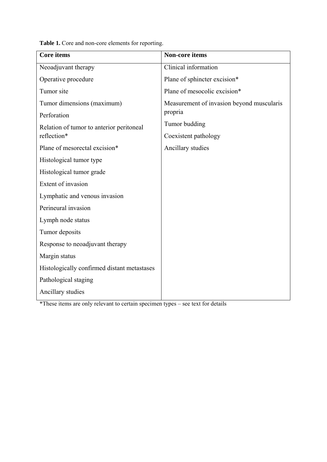**Table 1.** Core and non-core elements for reporting.

| <b>Core</b> items                                       | <b>Non-core items</b>                     |
|---------------------------------------------------------|-------------------------------------------|
| Neoadjuvant therapy                                     | Clinical information                      |
| Operative procedure                                     | Plane of sphincter excision*              |
| Tumor site                                              | Plane of mesocolic excision*              |
| Tumor dimensions (maximum)                              | Measurement of invasion beyond muscularis |
| Perforation                                             | propria                                   |
| Relation of tumor to anterior peritoneal<br>reflection* | Tumor budding                             |
|                                                         | Coexistent pathology                      |
| Plane of mesorectal excision*                           | Ancillary studies                         |
| Histological tumor type                                 |                                           |
| Histological tumor grade                                |                                           |
| Extent of invasion                                      |                                           |
| Lymphatic and venous invasion                           |                                           |
| Perineural invasion                                     |                                           |
| Lymph node status                                       |                                           |
| Tumor deposits                                          |                                           |
| Response to neoadjuvant therapy                         |                                           |
| Margin status                                           |                                           |
| Histologically confirmed distant metastases             |                                           |
| Pathological staging                                    |                                           |
| Ancillary studies                                       |                                           |

\*These items are only relevant to certain specimen types – see text for details

F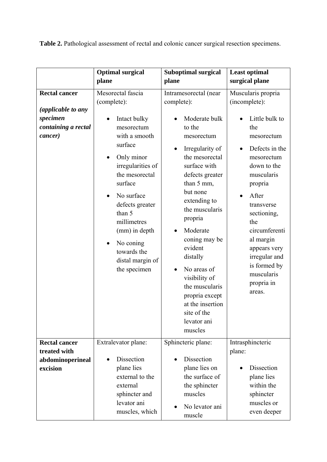Table 2. Pathological assessment of rectal and colonic cancer surgical resection specimens.

|                                                                                          | <b>Optimal surgical</b>                                                                                                                                                                                                                                                                                        | <b>Suboptimal surgical</b>                                                                                                                                                                                                                                                                                                                                                       | <b>Least optimal</b>                                                                                                                                                                                                                                                                                                                   |
|------------------------------------------------------------------------------------------|----------------------------------------------------------------------------------------------------------------------------------------------------------------------------------------------------------------------------------------------------------------------------------------------------------------|----------------------------------------------------------------------------------------------------------------------------------------------------------------------------------------------------------------------------------------------------------------------------------------------------------------------------------------------------------------------------------|----------------------------------------------------------------------------------------------------------------------------------------------------------------------------------------------------------------------------------------------------------------------------------------------------------------------------------------|
|                                                                                          |                                                                                                                                                                                                                                                                                                                |                                                                                                                                                                                                                                                                                                                                                                                  |                                                                                                                                                                                                                                                                                                                                        |
| <b>Rectal cancer</b><br>(applicable to any<br>specimen<br>containing a rectal<br>cancer) | plane<br>Mesorectal fascia<br>(complete):<br>Intact bulky<br>mesorectum<br>with a smooth<br>surface<br>Only minor<br>irregularities of<br>the mesorectal<br>surface<br>No surface<br>defects greater<br>than 5<br>millimetres<br>(mm) in depth<br>No coning<br>towards the<br>distal margin of<br>the specimen | plane<br>Intramesorectal (near<br>complete):<br>Moderate bulk<br>to the<br>mesorectum<br>Irregularity of<br>the mesorectal<br>surface with<br>defects greater<br>than 5 mm,<br>but none<br>extending to<br>the muscularis<br>propria<br>Moderate<br>coning may be<br>evident<br>distally<br>No areas of<br>visibility of<br>the muscularis<br>propria except<br>at the insertion | surgical plane<br>Muscularis propria<br>(incomplete):<br>Little bulk to<br>the<br>mesorectum<br>Defects in the<br>mesorectum<br>down to the<br>muscularis<br>propria<br>After<br>transverse<br>sectioning,<br>the<br>circumferenti<br>al margin<br>appears very<br>irregular and<br>is formed by<br>muscularis<br>propria in<br>areas. |
|                                                                                          |                                                                                                                                                                                                                                                                                                                | site of the<br>levator ani<br>muscles                                                                                                                                                                                                                                                                                                                                            |                                                                                                                                                                                                                                                                                                                                        |
| <b>Rectal cancer</b>                                                                     | Extralevator plane:                                                                                                                                                                                                                                                                                            | Sphincteric plane:                                                                                                                                                                                                                                                                                                                                                               | Intrasphincteric                                                                                                                                                                                                                                                                                                                       |
| treated with                                                                             |                                                                                                                                                                                                                                                                                                                |                                                                                                                                                                                                                                                                                                                                                                                  | plane:                                                                                                                                                                                                                                                                                                                                 |
| abdominoperineal<br>excision                                                             | <b>Dissection</b><br>plane lies<br>external to the<br>external<br>sphincter and<br>levator ani                                                                                                                                                                                                                 | Dissection<br>plane lies on<br>the surface of<br>the sphincter<br>muscles                                                                                                                                                                                                                                                                                                        | Dissection<br>plane lies<br>within the<br>sphincter<br>muscles or                                                                                                                                                                                                                                                                      |
|                                                                                          | muscles, which                                                                                                                                                                                                                                                                                                 | No levator ani<br>muscle                                                                                                                                                                                                                                                                                                                                                         | even deeper                                                                                                                                                                                                                                                                                                                            |